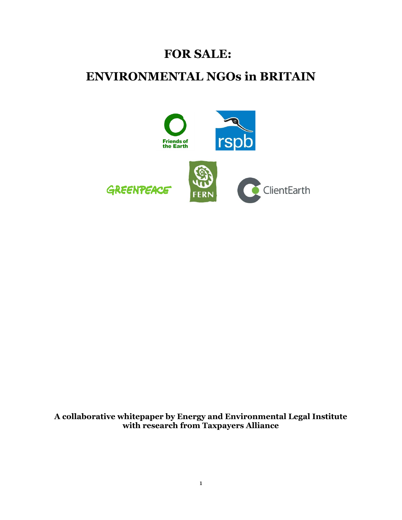# **FOR SALE:**

# **ENVIRONMENTAL NGOs in BRITAIN**



**A collaborative whitepaper by Energy and Environmental Legal Institute with research from Taxpayers Alliance**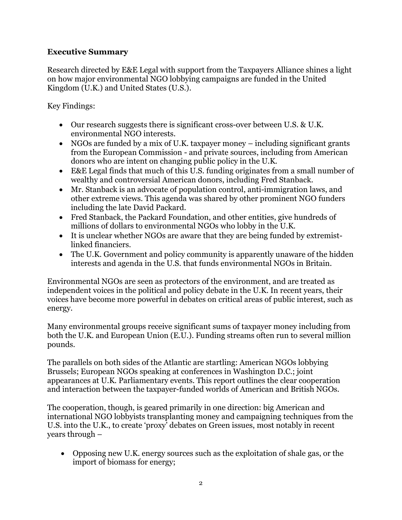## **Executive Summary**

Research directed by E&E Legal with support from the Taxpayers Alliance shines a light on how major environmental NGO lobbying campaigns are funded in the United Kingdom (U.K.) and United States (U.S.).

Key Findings:

- Our research suggests there is significant cross-over between U.S. & U.K. environmental NGO interests.
- NGOs are funded by a mix of U.K. taxpayer money including significant grants from the European Commission - and private sources, including from American donors who are intent on changing public policy in the U.K.
- E&E Legal finds that much of this U.S. funding originates from a small number of wealthy and controversial American donors, including Fred Stanback.
- Mr. Stanback is an advocate of population control, anti-immigration laws, and other extreme views. This agenda was shared by other prominent NGO funders including the late David Packard.
- Fred Stanback, the Packard Foundation, and other entities, give hundreds of millions of dollars to environmental NGOs who lobby in the U.K.
- It is unclear whether NGOs are aware that they are being funded by extremistlinked financiers.
- The U.K. Government and policy community is apparently unaware of the hidden interests and agenda in the U.S. that funds environmental NGOs in Britain.

Environmental NGOs are seen as protectors of the environment, and are treated as independent voices in the political and policy debate in the U.K. In recent years, their voices have become more powerful in debates on critical areas of public interest, such as energy.

Many environmental groups receive significant sums of taxpayer money including from both the U.K. and European Union (E.U.). Funding streams often run to several million pounds.

The parallels on both sides of the Atlantic are startling: American NGOs lobbying Brussels; European NGOs speaking at conferences in Washington D.C.; joint appearances at U.K. Parliamentary events. This report outlines the clear cooperation and interaction between the taxpayer-funded worlds of American and British NGOs.

The cooperation, though, is geared primarily in one direction: big American and international NGO lobbyists transplanting money and campaigning techniques from the U.S. into the U.K., to create 'proxy' debates on Green issues, most notably in recent years through –

 Opposing new U.K. energy sources such as the exploitation of shale gas, or the import of biomass for energy;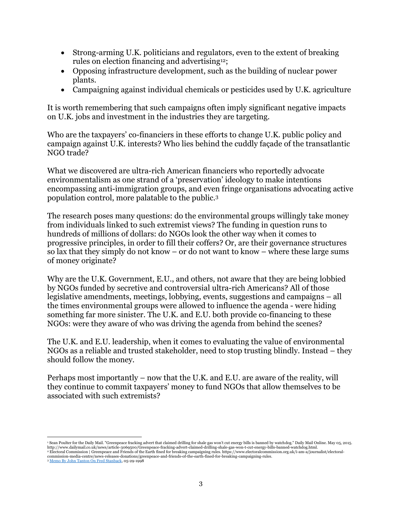- Strong-arming U.K. politicians and regulators, even to the extent of breaking rules on election financing and advertising12;
- Opposing infrastructure development, such as the building of nuclear power plants.
- Campaigning against individual chemicals or pesticides used by U.K. agriculture

It is worth remembering that such campaigns often imply significant negative impacts on U.K. jobs and investment in the industries they are targeting.

Who are the taxpayers' co-financiers in these efforts to change U.K. public policy and campaign against U.K. interests? Who lies behind the cuddly façade of the transatlantic NGO trade?

What we discovered are ultra-rich American financiers who reportedly advocate environmentalism as one strand of a 'preservation' ideology to make intentions encompassing anti-immigration groups, and even fringe organisations advocating active population control, more palatable to the public. 3

The research poses many questions: do the environmental groups willingly take money from individuals linked to such extremist views? The funding in question runs to hundreds of millions of dollars: do NGOs look the other way when it comes to progressive principles, in order to fill their coffers? Or, are their governance structures so lax that they simply do not know – or do not want to know – where these large sums of money originate?

Why are the U.K. Government, E.U., and others, not aware that they are being lobbied by NGOs funded by secretive and controversial ultra-rich Americans? All of those legislative amendments, meetings, lobbying, events, suggestions and campaigns – all the times environmental groups were allowed to influence the agenda - were hiding something far more sinister. The U.K. and E.U. both provide co-financing to these NGOs: were they aware of who was driving the agenda from behind the scenes?

The U.K. and E.U. leadership, when it comes to evaluating the value of environmental NGOs as a reliable and trusted stakeholder, need to stop trusting blindly. Instead – they should follow the money.

Perhaps most importantly – now that the U.K. and E.U. are aware of the reality, will they continue to commit taxpayers' money to fund NGOs that allow themselves to be associated with such extremists?

<sup>3</sup> Memo By John Tanton On Fred Stanback, 05-29-1998

<sup>&#</sup>x27; Sean Poulter for the Daily Mail. "Greenpeace fracking advert that claimed drilling for shale gas won't cut energy bills is banned by watchdog." Daily Mail Online. May 05, 2015.<br>http://www.dailymail.co.uk/news/article-306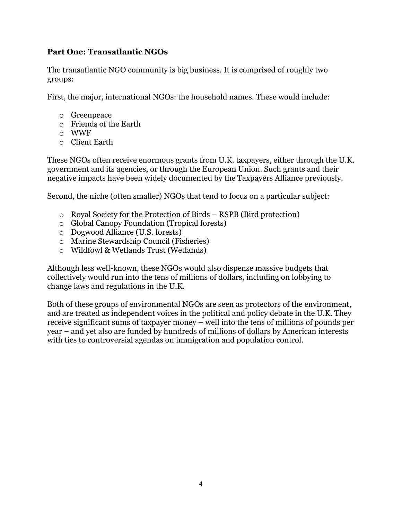## **Part One: Transatlantic NGOs**

The transatlantic NGO community is big business. It is comprised of roughly two groups:

First, the major, international NGOs: the household names. These would include:

- o Greenpeace
- o Friends of the Earth
- o WWF
- o Client Earth

These NGOs often receive enormous grants from U.K. taxpayers, either through the U.K. government and its agencies, or through the European Union. Such grants and their negative impacts have been widely documented by the Taxpayers Alliance previously.

Second, the niche (often smaller) NGOs that tend to focus on a particular subject:

- o Royal Society for the Protection of Birds RSPB (Bird protection)
- o Global Canopy Foundation (Tropical forests)
- o Dogwood Alliance (U.S. forests)
- o Marine Stewardship Council (Fisheries)
- o Wildfowl & Wetlands Trust (Wetlands)

Although less well-known, these NGOs would also dispense massive budgets that collectively would run into the tens of millions of dollars, including on lobbying to change laws and regulations in the U.K.

Both of these groups of environmental NGOs are seen as protectors of the environment, and are treated as independent voices in the political and policy debate in the U.K. They receive significant sums of taxpayer money – well into the tens of millions of pounds per year – and yet also are funded by hundreds of millions of dollars by American interests with ties to controversial agendas on immigration and population control.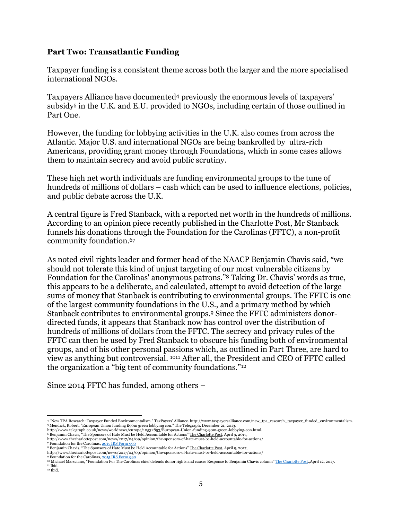#### **Part Two: Transatlantic Funding**

Taxpayer funding is a consistent theme across both the larger and the more specialised international NGOs.

Taxpayers Alliance have documented<sup>4</sup> previously the enormous levels of taxpayers' subsidy<sup>5</sup> in the U.K. and E.U. provided to NGOs, including certain of those outlined in Part One.

However, the funding for lobbying activities in the U.K. also comes from across the Atlantic. Major U.S. and international NGOs are being bankrolled by ultra-rich Americans, providing grant money through Foundations, which in some cases allows them to maintain secrecy and avoid public scrutiny.

These high net worth individuals are funding environmental groups to the tune of hundreds of millions of dollars – cash which can be used to influence elections, policies, and public debate across the U.K.

A central figure is Fred Stanback, with a reported net worth in the hundreds of millions. According to an opinion piece recently published in the Charlotte Post, Mr Stanback funnels his donations through the Foundation for the Carolinas (FFTC), a non-profit community foundation.<sup>67</sup>

As noted civil rights leader and former head of the NAACP Benjamin Chavis said, "we should not tolerate this kind of unjust targeting of our most vulnerable citizens by Foundation for the Carolinas' anonymous patrons." <sup>8</sup> Taking Dr. Chavis' words as true, this appears to be a deliberate, and calculated, attempt to avoid detection of the large sums of money that Stanback is contributing to environmental groups. The FFTC is one of the largest community foundations in the U.S., and a primary method by which Stanback contributes to environmental groups. <sup>9</sup> Since the FFTC administers donordirected funds, it appears that Stanback now has control over the distribution of hundreds of millions of dollars from the FFTC. The secrecy and privacy rules of the FFTC can then be used by Fred Stanback to obscure his funding both of environmental groups, and of his other personal passions which, as outlined in Part Three, are hard to view as anything but controversial. <sup>1011</sup> After all, the President and CEO of FFTC called the organization a "big tent of community foundations."<sup>12</sup>

Since 2014 FFTC has funded, among others –

<sup>4 &</sup>quot;New TPA Research: Taxpayer Funded Environmentalism." TaxPayers' Alliance. http://www.taxpayersalliance.com/new\_tpa\_research\_taxpayer\_funded\_environmentalism.<br>5 Mendick, Robert. "European Union funding £90m green lobbyin

http://www.thecharlottepost.com/news/2017/04/09/opinion/the-sponsors-of-hate-must-be-held-accountable-for-actions/<br>7 Foundation for the Carolinas, <u>2015 IRS Form 990</u>

<sup>&</sup>lt;sup>8</sup> Benjamin Chavis, "The Sponsors of Hate Must be Held Accountable for Actions" <u>The Charlotte Post</u>, April 9, 2017,<br>http://www.thecharlottepost.com/news/2017/04/09/opinion/the-sponsors-of-hate-must-be-held-accountable-fo

<sup>9</sup> Foundation for the Carolinas, 2015 IRS Form 990 <sup>10</sup> Michael Marsciano, "Foundation For The Carolinas chief defends donor rights and causes Response to Benjamin Chavis column" The Charlotte Post.*,*April 12, 2017. <sup>11</sup> Ibid.

 $^{\rm 12}$  Ibid.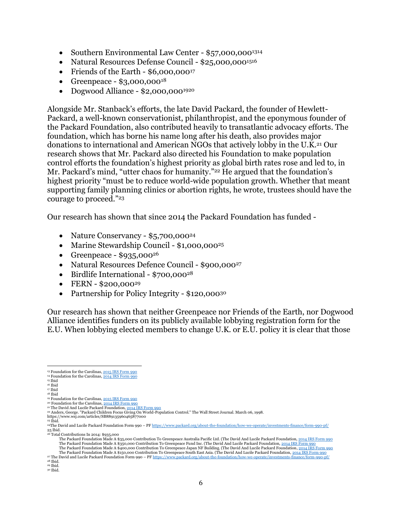- Southern Environmental Law Center \$57,000,000<sup>1314</sup>
- Natural Resources Defense Council \$25,000,000<sup>1516</sup>
- Friends of the Earth \$6,000,000<sup>17</sup>
- Greenpeace  $$3,000,000^{18}$
- Dogwood Alliance  $$2,000,000^{1920}$

Alongside Mr. Stanback's efforts, the late David Packard, the founder of Hewlett-Packard, a well-known conservationist, philanthropist, and the eponymous founder of the Packard Foundation, also contributed heavily to transatlantic advocacy efforts. The foundation, which has borne his name long after his death, also provides major donations to international and American NGOs that actively lobby in the U.K. <sup>21</sup> Our research shows that Mr. Packard also directed his Foundation to make population control efforts the foundation's highest priority as global birth rates rose and led to, in Mr. Packard's mind, "utter chaos for humanity." <sup>22</sup> He argued that the foundation's highest priority "must be to reduce world-wide population growth. Whether that meant supporting family planning clinics or abortion rights, he wrote, trustees should have the courage to proceed."<sup>23</sup>

Our research has shown that since 2014 the Packard Foundation has funded -

- Nature Conservancy \$5,700,000<sup>24</sup>
- Marine Stewardship Council \$1,000,000<sup>25</sup>
- Greenpeace  $$935,000^{26}$
- Natural Resources Defence Council \$900,000<sup>27</sup>
- Birdlife International \$700,000<sup>28</sup>
- $\cdot$  FERN \$200,000<sup>29</sup>
- Partnership for Policy Integrity \$120,000<sup>30</sup>

Our research has shown that neither Greenpeace nor Friends of the Earth, nor Dogwood Alliance identifies funders on its publicly available lobbying registration form for the E.U. When lobbying elected members to change U.K. or E.U. policy it is clear that those

<sup>26</sup> Total Contributions In 2014: \$935,000

<sup>&</sup>lt;sup>13</sup> Foundation for the Carolinas, <u>2015 IRS Form 990</u>

<sup>14</sup> Foundation for the Carolinas, 2014 IRS Form 990 <sup>15</sup> Ibid

 $16$  Ibid

<sup>17</sup> Ibid <sup>18</sup> Ibid

<sup>19</sup> Foundation for the Carolinas, 2015 IRS Form 990

<sup>&</sup>lt;sup>20</sup> Foundation for the Carolinas, <u>2014 IRS Form 990</u><br><sup>21</sup> The David And Lucile Packard Foundation, <u>2014 IRS Form 990</u>

<sup>22</sup> Anders, George. "Packard Children Focus Giving On World-Population Control." The Wall Street Journal. March 06, 1998. https://www.wsj.com/articles/SB889135960465877000

 $23$  Ibid

<sup>24</sup>The David and Lucile Packard Foundation Form 990 – PF https://www.packard.org/about-the-foundation/how-we-operate/investments-finance/form-990-pf/ 25 Ibid.

The Packard Foundation Made A \$35,000 Contribution To Greenpeace Australia Pacific Ltd. (The David And Lucile Packard Foundation, <u>2014 IRS Form 990</u><br>The Packard Foundation Made A \$350,000 Contribution To Greenpeace Fund I The Packard Foundation Made A \$400,000 Contribution To Greenpeace Japan NF Building. (The David And Lucile Packard Foundation, <u>2014 IRS Form 990</u><br>The Packard Foundation Made A \$150,000 Contribution To Greenpeace South Eas

<sup>&</sup>lt;sup>27</sup> The David and Lucile Packard Foundation Form 990 – PF https://www.packard.org/about-the-foundation/how-we-operate/investments-finance/form-990-pf/  $^{\mathrm{28}}$  Ibid.

<sup>29</sup> Ibid.

<sup>30</sup> Ibid.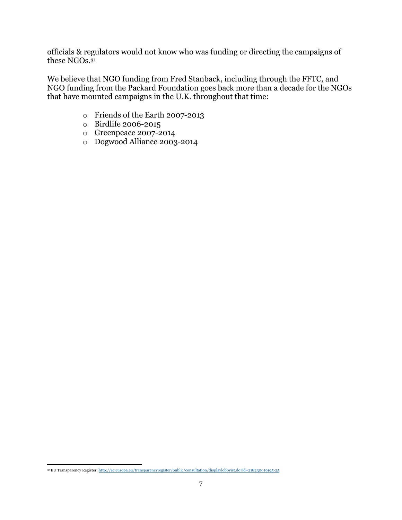officials & regulators would not know who was funding or directing the campaigns of these NGOs. 31

We believe that NGO funding from Fred Stanback, including through the FFTC, and NGO funding from the Packard Foundation goes back more than a decade for the NGOs that have mounted campaigns in the U.K. throughout that time:

- o Friends of the Earth 2007-2013
- o Birdlife 2006-2015
- o Greenpeace 2007-2014
- o Dogwood Alliance 2003-2014

 <sup>31</sup> EU Transparency Register: http://ec.europa.eu/transparencyregister/public/consultation/displaylobbyist.do?id=218230019195-25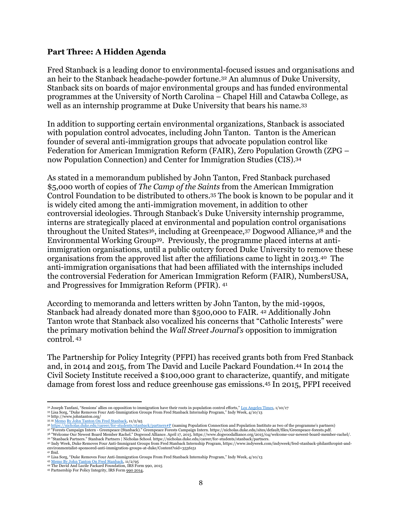#### **Part Three: A Hidden Agenda**

Fred Stanback is a leading donor to environmental-focused issues and organisations and an heir to the Stanback headache-powder fortune. <sup>32</sup> An alumnus of Duke University, Stanback sits on boards of major environmental groups and has funded environmental programmes at the University of North Carolina – Chapel Hill and Catawba College, as well as an internship programme at Duke University that bears his name.<sup>33</sup>

In addition to supporting certain environmental organizations, Stanback is associated with population control advocates, including John Tanton. Tanton is the American founder of several anti-immigration groups that advocate population control like Federation for American Immigration Reform (FAIR), Zero Population Growth (ZPG – now Population Connection) and Center for Immigration Studies (CIS). 34

As stated in a memorandum published by John Tanton, Fred Stanback purchased \$5,000 worth of copies of *The Camp of the Saints* from the American Immigration Control Foundation to be distributed to others. <sup>35</sup> The book is known to be popular and it is widely cited among the anti-immigration movement, in addition to other controversial ideologies. Through Stanback's Duke University internship programme, interns are strategically placed at environmental and population control organisations throughout the United States<sup>36</sup>, including at Greenpeace, <sup>37</sup> Dogwood Alliance, <sup>38</sup> and the Environmental Working Group39. Previously, the programme placed interns at antiimmigration organisations, until a public outcry forced Duke University to remove these organisations from the approved list after the affiliations came to light in 2013.40 The anti-immigration organisations that had been affiliated with the internships included the controversial Federation for American Immigration Reform (FAIR), NumbersUSA, and Progressives for Immigration Reform (PFIR). 41

According to memoranda and letters written by John Tanton, by the mid-1990s, Stanback had already donated more than \$500,000 to FAIR. <sup>42</sup> Additionally John Tanton wrote that Stanback also vocalized his concerns that "Catholic Interests" were the primary motivation behind the *Wall Street Journal's* opposition to immigration control. <sup>43</sup>

The Partnership for Policy Integrity (PFPI) has received grants both from Fred Stanback and, in 2014 and 2015, from The David and Lucile Packard Foundation.<sup>44</sup> In 2014 the Civil Society Institute received a \$100,000 grant to characterize, quantify, and mitigate damage from forest loss and reduce greenhouse gas emissions.<sup>45</sup> In 2015, PFPI received

<sup>36</sup> <u>https://nicholas.duke.edu/career/for-students/stanback/partners#P</u> (naming Population Connection and Population Institute as two of the programme's partners)<br><sup>37</sup> "Forests Campaign Intern - Greenpeace (Stanback)." Gr

 <sup>32</sup> Joseph Tanfani, "Sessions' allies on opposition to immigration have their roots in population control efforts," Los Angeles Times, 1/10/17 <sup>33</sup> Lisa Sorg, "Duke Removes Four Anti-Immigration Groups From Fred Stanback Internship Program," Indy Week, 4/10/13

<sup>&</sup>lt;sup>34</sup> http://www.johntanton.org/<br><sup>35 35</sup> <u>Memo By John Tanton On Fred Stanback</u>, 11/2/95

<sup>38 &</sup>quot;Welcome Our Newest Board Member Rachel." Dogwood Alliance. April 17, 2015. https://www.dogwoodalliance.org/2015/04/welcome-our-newest-board-member-rachel/.<br>39 "Stanback Partners." Stanback Partners | Nicholas School. h

environmentalist-sponsored-anti-immigration-groups-at-duke/Content?oid=3536151 <sup>41</sup> Ibid.

<sup>42</sup> Lisa Sorg, "Duke Removes Four Anti-Immigration Groups From Fred Stanback Internship Program," Indy Week, 4/10/13

<sup>43</sup> Memo By John Tanton On Fred Stanback, 11/2/95

<sup>44</sup> The David And Lucile Packard Foundation, IRS Form 990, 2015

<sup>45</sup> Partnership For Policy Integrity, IRS Form 990 2014,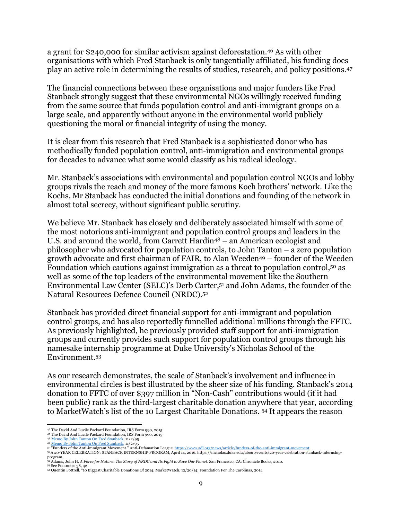a grant for \$240,000 for similar activism against deforestation. <sup>46</sup> As with other organisations with which Fred Stanback is only tangentially affiliated, his funding does play an active role in determining the results of studies, research, and policy positions.<sup>47</sup>

The financial connections between these organisations and major funders like Fred Stanback strongly suggest that these environmental NGOs willingly received funding from the same source that funds population control and anti-immigrant groups on a large scale, and apparently without anyone in the environmental world publicly questioning the moral or financial integrity of using the money.

It is clear from this research that Fred Stanback is a sophisticated donor who has methodically funded population control, anti-immigration and environmental groups for decades to advance what some would classify as his radical ideology.

Mr. Stanback's associations with environmental and population control NGOs and lobby groups rivals the reach and money of the more famous Koch brothers' network. Like the Kochs, Mr Stanback has conducted the initial donations and founding of the network in almost total secrecy, without significant public scrutiny.

We believe Mr. Stanback has closely and deliberately associated himself with some of the most notorious anti-immigrant and population control groups and leaders in the U.S. and around the world, from Garrett Hardin<sup>48</sup> – an American ecologist and philosopher who advocated for population controls, to John Tanton – a zero population growth advocate and first chairman of FAIR, to Alan Weeden<sup>49</sup> – founder of the Weeden Foundation which cautions against immigration as a threat to population control,<sup>50</sup> as well as some of the top leaders of the environmental movement like the Southern Environmental Law Center (SELC)'s Derb Carter, <sup>51</sup> and John Adams, the founder of the Natural Resources Defence Council (NRDC). 52

Stanback has provided direct financial support for anti-immigrant and population control groups, and has also reportedly funnelled additional millions through the FFTC. As previously highlighted, he previously provided staff support for anti-immigration groups and currently provides such support for population control groups through his namesake internship programme at Duke University's Nicholas School of the Environment.<sup>53</sup>

As our research demonstrates, the scale of Stanback's involvement and influence in environmental circles is best illustrated by the sheer size of his funding. Stanback's 2014 donation to FFTC of over \$397 million in "Non-Cash" contributions would (if it had been public) rank as the third-largest charitable donation anywhere that year, according to MarketWatch's list of the 10 Largest Charitable Donations. <sup>54</sup> It appears the reason

 <sup>46</sup> The David And Lucile Packard Foundation, IRS Form 990, 2015

<sup>47</sup> The David And Lucile Packard Foundation, IRS Form 990, 2015

<sup>48</sup> Memo By John Tanton On Fred Stanback, 11/2/95 <sup>49</sup> Memo By John Tanton On Fred Stanback, 11/2/95

<sup>5</sup>º "Funders of the Anti-immigrant Movement." Anti-Defamation League. <u>https://www.adl.org/news/article/funders-of-the-anti-immigrant-movement</u>.<br>5º A 20-YEAR CELEBRATION: STANBACK INTERNSHIP PROGRAM, April 14, 2016. https:/

program <sup>52</sup> Adams, John H. *A Force for Nature: The Story of NRDC and Its Fight to Save Our Planet*. San Francisco, CA: Chronicle Books, 2010.

<sup>53</sup> See Footnotes 38, 42 <sup>54</sup> Quentin Fottrell, "10 Biggest Charitable Donations Of 2014, MarketWatch, 12/20/14; Foundation For The Carolinas, 2014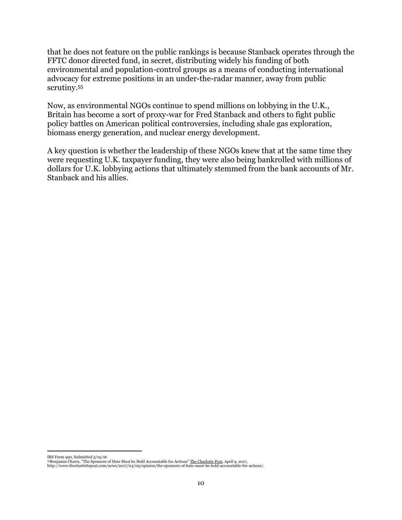that he does not feature on the public rankings is because Stanback operates through the FFTC donor directed fund, in secret, distributing widely his funding of both environmental and population-control groups as a means of conducting international advocacy for extreme positions in an under-the-radar manner, away from public scrutiny.<sup>55</sup>

Now, as environmental NGOs continue to spend millions on lobbying in the U.K., Britain has become a sort of proxy-war for Fred Stanback and others to fight public policy battles on American political controversies, including shale gas exploration, biomass energy generation, and nuclear energy development.

A key question is whether the leadership of these NGOs knew that at the same time they were requesting U.K. taxpayer funding, they were also being bankrolled with millions of dollars for U.K. lobbying actions that ultimately stemmed from the bank accounts of Mr. Stanback and his allies.

 $\overline{a}$ 

IRS Form 990, Submitted 5/19/16 <sup>55</sup>Benjamin Chavis, "The Sponsors of Hate Must be Held Accountable for Actions" The Charlotte Post, April 9, 2017, http://www.thecharlottepost.com/news/2017/04/09/opinion/the-sponsors-of-hate-must-be-held-accountable-for-actions/.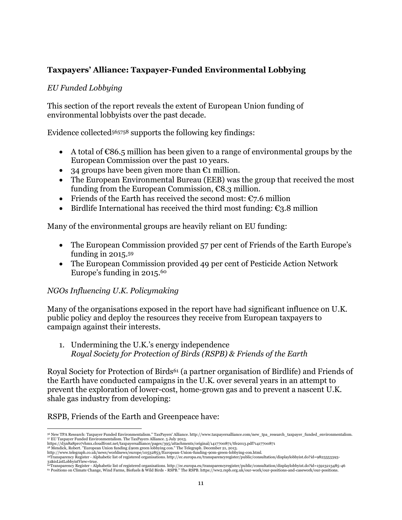# **Taxpayers' Alliance: Taxpayer-Funded Environmental Lobbying**

### *EU Funded Lobbying*

This section of the report reveals the extent of European Union funding of environmental lobbyists over the past decade.

Evidence collected<sup>565758</sup> supports the following key findings:

- A total of  $\epsilon$ 86.5 million has been given to a range of environmental groups by the European Commission over the past 10 years.
- 34 groups have been given more than  $\epsilon_1$  million.
- The European Environmental Bureau (EEB) was the group that received the most funding from the European Commission,  $\epsilon$ 8.3 million.
- Friends of the Earth has received the second most:  $\epsilon$ 7.6 million
- Eirdlife International has received the third most funding:  $\epsilon_3$ .8 million

Many of the environmental groups are heavily reliant on EU funding:

- The European Commission provided 57 per cent of Friends of the Earth Europe's funding in 2015. 59
- The European Commission provided 49 per cent of Pesticide Action Network Europe's funding in 2015. 60

## *NGOs Influencing U.K. Policymaking*

Many of the organisations exposed in the report have had significant influence on U.K. public policy and deploy the resources they receive from European taxpayers to campaign against their interests.

1. Undermining the U.K.'s energy independence *Royal Society for Protection of Birds (RSPB) & Friends of the Earth*

Royal Society for Protection of Birds<sup>61</sup> (a partner organisation of Birdlife) and Friends of the Earth have conducted campaigns in the U.K. over several years in an attempt to prevent the exploration of lower-cost, home-grown gas and to prevent a nascent U.K. shale gas industry from developing:

RSPB, Friends of the Earth and Greenpeace have:

 $\overline{a}$ <sup>56</sup> New TPA Research: Taxpayer Funded Environmentalism." TaxPayers' Alliance. http://www.taxpayersalliance.com/new\_tpa\_research\_taxpayer\_funded\_environmentalism. 57 EU Taxpayer Funded Environmentalism. The TaxPayers Alliance. 5 July 2013.<br>https://d3n8a8pro7vhmx.cloudfront.net/taxpayersalliance/pages/395/attachments/original/1417700871/tfe2013.pdf?1417700871

<sup>&</sup>lt;sup>58</sup> Mendick, Robert. "European Union funding £90m green lobbying con." The Telegraph. December 21, 2013.<br>http://www.telegraph.co.uk/news/worldnews/europe/10532853/European-Union-funding-90m-green-lobbying-con.html.

<sup>59</sup>Transparency Register - Alphabetic list of registered organisations. http://ec.europa.eu/transparencyregister/public/consultation/displaylobbyist.do?id=9825553393-

<sup>31&</sup>amp;isListLobbyistView=true.<br><sup>60T</sup>ransparency Register - Alphabetic list of registered organisations. http://ec.europa.eu/transparencyregister/public/consultation/displaylobbyist.do?id=15913213485-46<br><sup>61</sup> Positions on Clima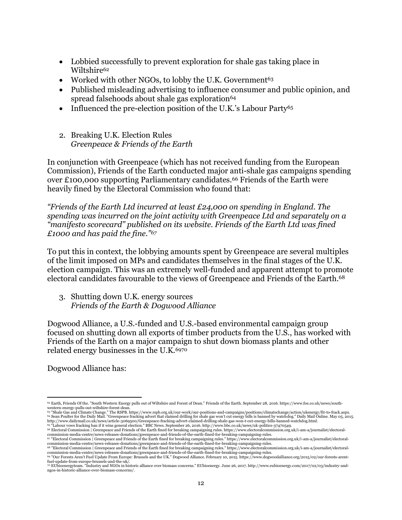- Lobbied successfully to prevent exploration for shale gas taking place in Wiltshire<sup>62</sup>
- Worked with other NGOs, to lobby the U.K. Government<sup>63</sup>
- Published misleading advertising to influence consumer and public opinion, and spread falsehoods about shale gas exploration $64$
- Influenced the pre-election position of the U.K.'s Labour Party<sup>65</sup>
- 2. Breaking U.K. Election Rules *Greenpeace & Friends of the Earth*

In conjunction with Greenpeace (which has not received funding from the European Commission), Friends of the Earth conducted major anti-shale gas campaigns spending over £100,000 supporting Parliamentary candidates.<sup>66</sup> Friends of the Earth were heavily fined by the Electoral Commission who found that:

*"Friends of the Earth Ltd incurred at least £24,000 on spending in England. The spending was incurred on the joint activity with Greenpeace Ltd and separately on a "manifesto scorecard" published on its website. Friends of the Earth Ltd was fined £1000 and has paid the fine."<sup>67</sup>*

To put this in context, the lobbying amounts spent by Greenpeace are several multiples of the limit imposed on MPs and candidates themselves in the final stages of the U.K. election campaign. This was an extremely well-funded and apparent attempt to promote electoral candidates favourable to the views of Greenpeace and Friends of the Earth. 68

3. Shutting down U.K. energy sources *Friends of the Earth & Dogwood Alliance*

Dogwood Alliance, a U.S.-funded and U.S.-based environmental campaign group focused on shutting down all exports of timber products from the U.S., has worked with Friends of the Earth on a major campaign to shut down biomass plants and other related energy businesses in the U.K. 6970

Dogwood Alliance has:

 $\overline{a}$ <sup>62</sup> Earth, Friends Of the. "South Western Energy pulls out of Wiltshire and Forest of Dean." Friends of the Earth. September 28, 2016. https://www.foe.co.uk/news/southwestern-energy-pulls-out-wiltshire-forest-dean.

<sup>% &</sup>quot;Shale Gas and Climate Change." The RSPB. https://www.rspb.org.uk/our-work/our-positions-and-campaigns/positions/climatechange/action/ukenergy/fit-to-frack.aspx.<br>http://www.dailymail.co.uk/news/article-3069500/Greenpeace

commission-media-centre/news-releases-donations/greenpeace-and-friends-of-the-earth-fined-for-breaking-campaigning-rules.<br><sup>67 //</sup>Electoral Commission | Greenpeace and Friends of the Earth fined for breaking campaigning rul

<sup>68 &</sup>quot;Electoral Commission | Greenpeace and Friends of the Earth fined for breaking campaigning rules." https://www.electoralcommission.org.uk/i-am-a/journalist/electoral-<br>commission-media-centre/news-releases-donations/gree <sup>69</sup> "Our Forests Aren't Fuel Update From Europe: Brussels and the UK." Dogwood Alliance. February 10, 2015. https://www.dogwoodalliance.org/2015/02/our-forests-arentfuel-update-from-europe-brussels-and-the-uk/.

<sup>70</sup> EUbioenergyteam. "Industry and NGOs in historic alliance over biomass concerns." EUbioenergy. June 26, 2017. http://www.eubioenergy.com/2017/02/03/industry-andngos-in-historic-alliance-over-biomass-concerns/.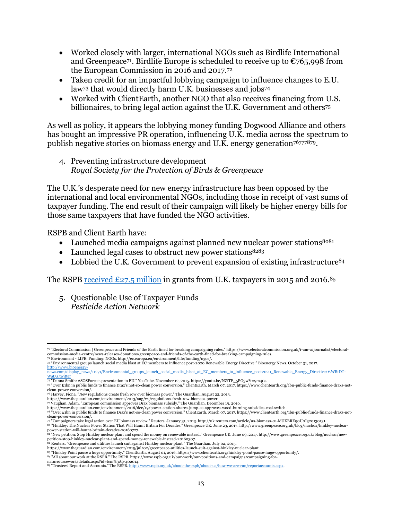- Worked closely with larger, international NGOs such as Birdlife International and Greenpeace<sup>71</sup>. Birdlife Europe is scheduled to receive up to  $\epsilon$ 765,998 from the European Commission in 2016 and 2017.<sup>72</sup>
- Taken credit for an impactful lobbying campaign to influence changes to E.U. law<sup>73</sup> that would directly harm U.K. businesses and jobs<sup>74</sup>
- Worked with ClientEarth, another NGO that also receives financing from U.S. billionaires, to bring legal action against the U.K. Government and others<sup>75</sup>

As well as policy, it appears the lobbying money funding Dogwood Alliance and others has bought an impressive PR operation, influencing U.K. media across the spectrum to publish negative stories on biomass energy and U.K. energy generation<sup>76777879</sup>.

4. Preventing infrastructure development *Royal Society for the Protection of Birds & Greenpeace*

The U.K.'s desperate need for new energy infrastructure has been opposed by the international and local environmental NGOs, including those in receipt of vast sums of taxpayer funding. The end result of their campaign will likely be higher energy bills for those same taxpayers that have funded the NGO activities.

RSPB and Client Earth have:

- Launched media campaigns against planned new nuclear power stations<sup>8081</sup>
- Launched legal cases to obstruct new power stations<sup>8283</sup>
- Lobbied the U.K. Government to prevent expansion of existing infrastructure<sup>84</sup>

The RSPB received  $E27.5$  million in grants from U.K. taxpayers in 2015 and 2016.<sup>85</sup>

5. Questionable Use of Taxpayer Funds *Pesticide Action Network*

n "Electoral Commission | Greenpeace and Friends of the Earth fined for breaking campaigning rules." https://www.electoralcommission.org.uk/i-am-a/journalist/electoral-<br>commission-media-centre/news-releases-donations/green

<sup>&</sup>lt;sup>72</sup> Environment - LIFE: Funding: NGOs. http://ec.europa.eu/environment/life/funding/ngos/.<br><sup>73</sup> "Environmental groups launch social media blast at EC members to influence post-2020 Renewable Energy Directive." Bioenergy N http://www.bioenergy-

news.com/display\_news/11271/Environmental\_groups\_launch\_social\_media\_blast\_at\_EC\_members\_to\_influence\_post2020\_Renewable\_Energy\_Directive/#.WBtDT-<br>Wat3s.twitter

<sup>74 &</sup>quot;Danna Smith: #SOSForests presentation to EU." YouTube. November 12, 2015. https://youtu.be/NZiTE\_5PO3w?t=9m40s.<br>75 "Over £1bn in public funds to finance Drax's not-so-clean power conversion." ClientEarth. March 07, 201

clean-power-conversion/. <sup>76</sup> Harvey, Fiona. "New regulations create fresh row over biomass power." The Guardian. August 22, 2013.

https://www.theguardian.com/environment/2013/aug/22/regulations-fresh-row-biomass-power.

<sup>77</sup> Vaughan, Adam. "European commission approves Drax biomass subsidy." The Guardian. December 19, 2016.<br>https://www.theguardian.com/environment/2016/dec/19/power-station-shares-jump-ec-approves-wood-burning-subsidies-coal-

<sup>78</sup> "Over £1bn in public funds to finance Drax's not-so-clean power conversion." ClientEarth. March 07, 2017. https://www.clientearth.org/1bn-public-funds-finance-draxs-notclean-power-conversion/.

<sup>79 &</sup>quot;Campaigners take legal action over EU biomass review." Reuters. January 31, 2013. http://uk.reuters.com/article/us-biomass-eu-idUKBRE90U0I320130131.<br><sup>80</sup> "Hinkley: The Nuclear Power Station That Will Haunt Britain For

power-station-will-haunt-britain-decades-20160727.<br><sup>81</sup> "New petition: Stop Hinkley nuclear plant and spend the money on renewable instead." Greenpeace UK. June 09, 2017. http://www.greenpeace.org.uk/blog/nuclear/newpetition-stop-hinkley-nuclear-plant-and-spend-money-renewable-instead-20160307.<br><sup>82</sup> Reuters. "Greenpeace and utilities launch suit against Hinkley nuclear plant." The Guardian. July 02, 2015.

https://www.theguardian.com/environment/2015/jul/02/greenpeace-utilities-launch-suit-against-hinkley-nuclear-plant.<br><sup>83</sup> "Hinkley Point pause a huge opportunity." ClientEarth. August 01, 2016. https://www.clientearth.org/h

<sup>85 &</sup>quot;Trustees' Report and Accounts." The RSPB. http://www.rspb.org.uk/about-the-rspb/about-us/how-we-are-run/reportaccounts.aspx.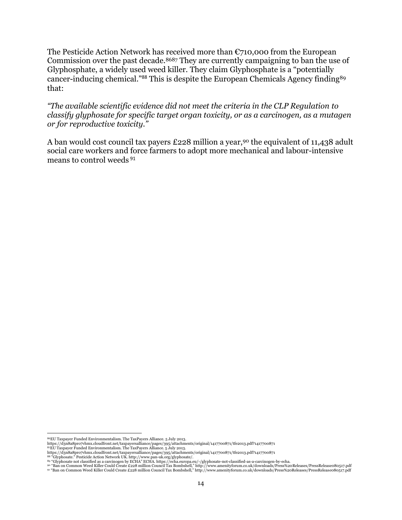The Pesticide Action Network has received more than  $\epsilon$ 710,000 from the European Commission over the past decade.<sup>8687</sup> They are currently campaigning to ban the use of Glyphosphate, a widely used weed killer. They claim Glyphosphate is a "potentially cancer-inducing chemical."<sup>88</sup> This is despite the European Chemicals Agency finding<sup>89</sup> that:

*"The available scientific evidence did not meet the criteria in the CLP Regulation to classify glyphosate for specific target organ toxicity, or as a carcinogen, as a mutagen or for reproductive toxicity."*

A ban would cost council tax payers £228 million a year,<sup>90</sup> the equivalent of 11,438 adult social care workers and force farmers to adopt more mechanical and labour-intensive means to control weeds <sup>91</sup>

es<br>Inttps://d3n8a8pro7vhmx.cloudfront.net/taxpayersalliance. 5 July 2013.<br>https://d3n8a8pro7vhmx.cloudfront.net/taxpayersalliance/pages/395/attachments/original/1417700871/tfe2013.pdf?1417700871

<sup>87</sup>EU Taxpayer Funded Environmentalism. The TaxPayers Alliance. 5 July 2013. https://d3n8a8pro7vhmx.cloudfront.net/taxpayersalliance/pages/395/attachments/original/1417700871/tfe2013.pdf?1417700871

<sup>88 &</sup>quot;Glyphosate." Pesticide Action Network UK. http://www.pan-uk.org/glyphosate/.<br><sup>89</sup> "Glyphosate not classified as a carcinogen by ECHA" ECHA. https://echa.europa.eu/-/glyphosate-not-classified-as-a-carcinogen-by-echa.<br><sup>9</sup>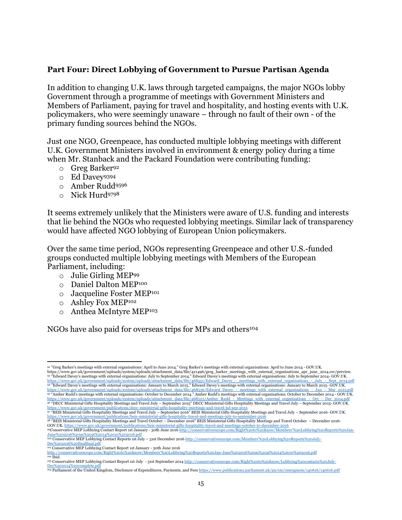### **Part Four: Direct Lobbying of Government to Pursue Partisan Agenda**

In addition to changing U.K. laws through targeted campaigns, the major NGOs lobby Government through a programme of meetings with Government Ministers and Members of Parliament, paying for travel and hospitality, and hosting events with U.K. policymakers, who were seemingly unaware – through no fault of their own - of the primary funding sources behind the NGOs.

Just one NGO, Greenpeace, has conducted multiple lobbying meetings with different U.K. Government Ministers involved in environment & energy policy during a time when Mr. Stanback and the Packard Foundation were contributing funding:

- o Greg Barker<sup>92</sup>
- o Ed Davey<sup>9394</sup>
- o Amber Rudd<sup>9596</sup>
- o Nick Hurd<sup>9798</sup>

It seems extremely unlikely that the Ministers were aware of U.S. funding and interests that lie behind the NGOs who requested lobbying meetings. Similar lack of transparency would have affected NGO lobbying of European Union policymakers.

Over the same time period, NGOs representing Greenpeace and other U.S.-funded groups conducted multiple lobbying meetings with Members of the European Parliament, including:

- o Julie Girling MEP<sup>99</sup>
- o Daniel Dalton MEP<sup>100</sup>
- o Jacqueline Foster MEP<sup>101</sup>
- o Ashley Fox MEP<sup>102</sup>
- o Anthea McIntyre MEP<sup>103</sup>

NGOs have also paid for overseas trips for MPs and others<sup>104</sup>

 <sup>92</sup> "Greg Barker's meetings with external organisations: April to June 2014." Greg Barker's meetings with external organisations: April to June 2014 - GOV.UK. https://www.gov.uk/government/uploads/system/uploads/attachment\_data/file/421496/greg\_barker\_meetings\_with\_external\_organisations\_apr\_june\_2014.csv/preview.<br><sup>93</sup> "Edward Davey's meetings with external organisations: July t https://www.gov.uk/government/uploads/system/uploads/attachment\_data/file/468551/Edward\_Davey\_-\_meetings\_with\_external\_organisations\_-\_July\_-\_Sept\_2014.pdf<br>%4 "Edward Davey's meetings with external organisations: January t https://www.gov.uk/government/uploads/system/uploads/attachment\_data/file/468523/Amber\_Rudd\_-\_Meetings\_with\_external\_organisations\_-\_Oct\_-\_Dec <sup>96</sup> "DECC Ministerial Gifts Hospitality Meetings and Travel July – September 2015" DECC Ministerial Gifts Hospitality Meetings and Travel July – September 2015- GOV.UK.

https://www.gov.uk/government/publications/decc-ministerial-gifts-hospitality-meetings-and-travel-jul-sep-2015 <sup>97</sup> "BEIS Ministerial Gifts Hospitality Meetings and Travel July – September 2016" BEIS Ministerial Gifts Hospitality Meetings and Travel July – September 2016- GOV.UK. https://www.gov.uk/government/publications/beis-ministerial-gifts-hospitality-travel-and-meetings-july-to-september-2016

<sup>98 &</sup>quot;BEIS Ministerial Gifts Hospitality Meetings and Travel October – December 2016" BEIS Ministerial Gifts Hospitality Meetings and Travel October – December 2016-<br>GOV UK https://www.gov.uk/government/publications/beis-mi GOV.UK. <u>https://www.gov.uk/government/publications/beis-ministerial-gifts-hospitality-travel-and-meetings-october-to-december-2016<br><sup>99</sup>Conservative MEP Lobbying Contact Report 1st January - 30th June 2016 <u>http://conserva</u></u>

J<u>une%202016%20as%20at%2014%2010%202016.pdf</u><br><sup>100</sup> **Conservative MEP Lobbying Contact Reports 1st July – 31st December 2016** http://conservativeeurope.com/Members'%20Lobbying%20Reports%20July-<br>Dec%202016%20finalfinal.pdf

<sup>&</sup>lt;sup>101</sup> Conservative MEP Lobbying Contact Report 1st January - 30th June 2016<br>http://conservativeeurope.com/Right%20to%20know/Members'%20Lobbyi

http://conservativeeurope.com/Right%20to%20know/Members'%20Lobbying%20Reports%20Jan-June%202016%20as%20at%2014%2010%202016.pdf  $102$  Ibid. <sup>103</sup>Conservative MEP Lobbying Contact Report 1st July - 31st September 2014 http://conservativeeurope.com/Right%20to%20know/Lobbying%20contacts%20July-

Dec%202014%20complete.pdf<br><sup>104</sup> Parliament of the United Kingdom, Disclosure of Expenditures, Payments, and Fees <u>https://www.publications.parliament.uk/pa/cm/cmregmem/140616/140616.pdf</u>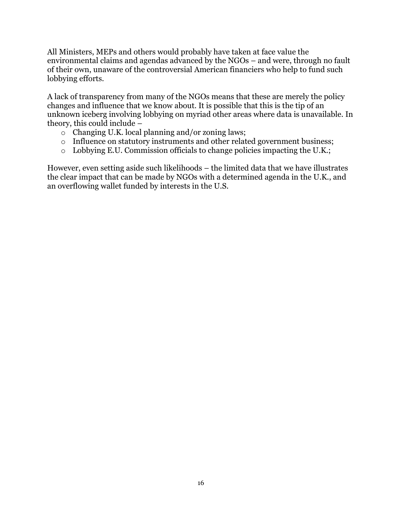All Ministers, MEPs and others would probably have taken at face value the environmental claims and agendas advanced by the NGOs – and were, through no fault of their own, unaware of the controversial American financiers who help to fund such lobbying efforts.

A lack of transparency from many of the NGOs means that these are merely the policy changes and influence that we know about. It is possible that this is the tip of an unknown iceberg involving lobbying on myriad other areas where data is unavailable. In theory, this could include –

- o Changing U.K. local planning and/or zoning laws;
- o Influence on statutory instruments and other related government business;
- o Lobbying E.U. Commission officials to change policies impacting the U.K.;

However, even setting aside such likelihoods – the limited data that we have illustrates the clear impact that can be made by NGOs with a determined agenda in the U.K., and an overflowing wallet funded by interests in the U.S.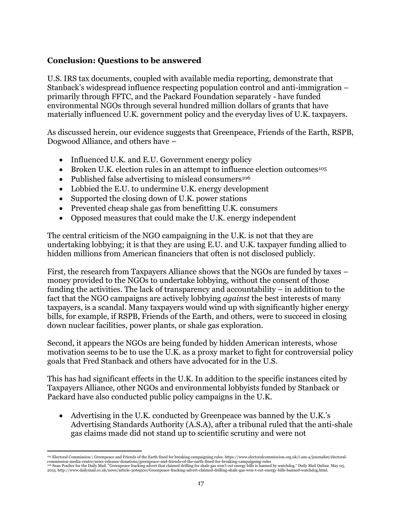## **Conclusion: Questions to be answered**

U.S. IRS tax documents, coupled with available media reporting, demonstrate that Stanback's widespread influence respecting population control and anti-immigration – primarily through FFTC, and the Packard Foundation separately - have funded environmental NGOs through several hundred million dollars of grants that have materially influenced U.K. government policy and the everyday lives of U.K. taxpayers.

As discussed herein, our evidence suggests that Greenpeace, Friends of the Earth, RSPB, Dogwood Alliance, and others have –

- Influenced U.K. and E.U. Government energy policy
- $\bullet$  Broken U.K. election rules in an attempt to influence election outcomes<sup>105</sup>
- Published false advertising to mislead consumers<sup>106</sup>
- Lobbied the E.U. to undermine U.K. energy development
- Supported the closing down of U.K. power stations
- Prevented cheap shale gas from benefitting U.K. consumers
- Opposed measures that could make the U.K. energy independent

The central criticism of the NGO campaigning in the U.K. is not that they are undertaking lobbying; it is that they are using E.U. and U.K. taxpayer funding allied to hidden millions from American financiers that often is not disclosed publicly.

First, the research from Taxpayers Alliance shows that the NGOs are funded by taxes – money provided to the NGOs to undertake lobbying, without the consent of those funding the activities. The lack of transparency and accountability – in addition to the fact that the NGO campaigns are actively lobbying *against* the best interests of many taxpayers, is a scandal. Many taxpayers would wind up with significantly higher energy bills, for example, if RSPB, Friends of the Earth, and others, were to succeed in closing down nuclear facilities, power plants, or shale gas exploration.

Second, it appears the NGOs are being funded by hidden American interests, whose motivation seems to be to use the U.K. as a proxy market to fight for controversial policy goals that Fred Stanback and others have advocated for in the U.S.

This has had significant effects in the U.K. In addition to the specific instances cited by Taxpayers Alliance, other NGOs and environmental lobbyists funded by Stanback or Packard have also conducted public policy campaigns in the U.K.

 Advertising in the U.K. conducted by Greenpeace was banned by the U.K.'s Advertising Standards Authority (A.S.A), after a tribunal ruled that the anti-shale gas claims made did not stand up to scientific scrutiny and were not

<sup>&</sup>lt;sup>105</sup> Electoral Commission | Greenpeace and Friends of the Earth fined for breaking campaigning rules. https://www.electoralcommission.org.uk/i-am-a/journalist/electoral<br>commission-media-centre/news-releases-donations/gree